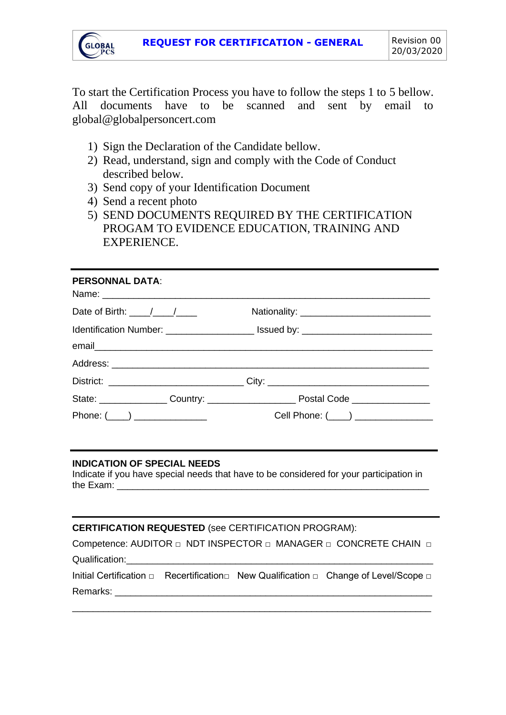

To start the Certification Process you have to follow the steps 1 to 5 bellow. All documents have to be scanned and sent by email to global@globalpersoncert.com

- 1) Sign the Declaration of the Candidate bellow.
- 2) Read, understand, sign and comply with the Code of Conduct described below.
- 3) Send copy of your Identification Document
- 4) Send a recent photo
- 5) SEND DOCUMENTS REQUIRED BY THE CERTIFICATION PROGAM TO EVIDENCE EDUCATION, TRAINING AND EXPERIENCE.

| <b>PERSONNAL DATA:</b>                                   |                                                                                  |
|----------------------------------------------------------|----------------------------------------------------------------------------------|
| Date of Birth: $\frac{1}{2}$ $\frac{1}{2}$ $\frac{1}{2}$ |                                                                                  |
|                                                          | Identification Number: ______________________ Issued by: _______________________ |
|                                                          |                                                                                  |
|                                                          |                                                                                  |
|                                                          | District: ________________________________City: ________________________________ |
|                                                          |                                                                                  |
|                                                          | Cell Phone: (____) _______________                                               |

## **INDICATION OF SPECIAL NEEDS**

Indicate if you have special needs that have to be considered for your participation in the Exam:

## **CERTIFICATION REQUESTED** (see CERTIFICATION PROGRAM):

Competence: AUDITOR □ NDT INSPECTOR □ MANAGER □ CONCRETE CHAIN □ Qualification:

Initial Certification □ Recertification□ New Qualification □ Change of Level/Scope □ Remarks: **Example 2018** 

\_\_\_\_\_\_\_\_\_\_\_\_\_\_\_\_\_\_\_\_\_\_\_\_\_\_\_\_\_\_\_\_\_\_\_\_\_\_\_\_\_\_\_\_\_\_\_\_\_\_\_\_\_\_\_\_\_\_\_\_\_\_\_\_\_\_\_\_\_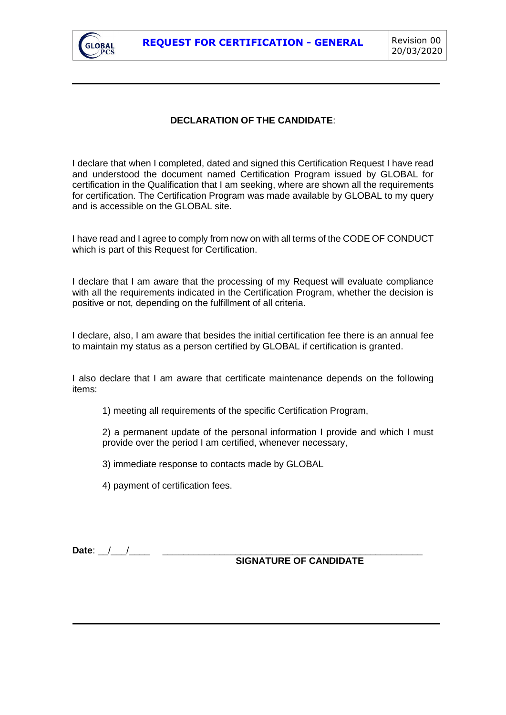

## **DECLARATION OF THE CANDIDATE**:

I declare that when I completed, dated and signed this Certification Request I have read and understood the document named Certification Program issued by GLOBAL for certification in the Qualification that I am seeking, where are shown all the requirements for certification. The Certification Program was made available by GLOBAL to my query and is accessible on the GLOBAL site.

I have read and I agree to comply from now on with all terms of the CODE OF CONDUCT which is part of this Request for Certification.

I declare that I am aware that the processing of my Request will evaluate compliance with all the requirements indicated in the Certification Program, whether the decision is positive or not, depending on the fulfillment of all criteria.

I declare, also, I am aware that besides the initial certification fee there is an annual fee to maintain my status as a person certified by GLOBAL if certification is granted.

I also declare that I am aware that certificate maintenance depends on the following items:

1) meeting all requirements of the specific Certification Program,

2) a permanent update of the personal information I provide and which I must provide over the period I am certified, whenever necessary,

3) immediate response to contacts made by GLOBAL

4) payment of certification fees.

**Date:** / /

**SIGNATURE OF CANDIDATE**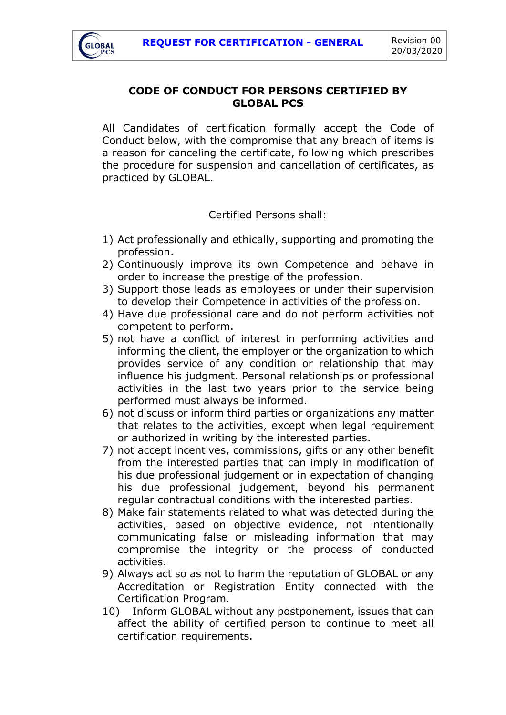

## **CODE OF CONDUCT FOR PERSONS CERTIFIED BY GLOBAL PCS**

All Candidates of certification formally accept the Code of Conduct below, with the compromise that any breach of items is a reason for canceling the certificate, following which prescribes the procedure for suspension and cancellation of certificates, as practiced by GLOBAL.

Certified Persons shall:

- 1) Act professionally and ethically, supporting and promoting the profession.
- 2) Continuously improve its own Competence and behave in order to increase the prestige of the profession.
- 3) Support those leads as employees or under their supervision to develop their Competence in activities of the profession.
- 4) Have due professional care and do not perform activities not competent to perform.
- 5) not have a conflict of interest in performing activities and informing the client, the employer or the organization to which provides service of any condition or relationship that may influence his judgment. Personal relationships or professional activities in the last two years prior to the service being performed must always be informed.
- 6) not discuss or inform third parties or organizations any matter that relates to the activities, except when legal requirement or authorized in writing by the interested parties.
- 7) not accept incentives, commissions, gifts or any other benefit from the interested parties that can imply in modification of his due professional judgement or in expectation of changing his due professional judgement, beyond his permanent regular contractual conditions with the interested parties.
- 8) Make fair statements related to what was detected during the activities, based on objective evidence, not intentionally communicating false or misleading information that may compromise the integrity or the process of conducted activities.
- 9) Always act so as not to harm the reputation of GLOBAL or any Accreditation or Registration Entity connected with the Certification Program.
- 10) Inform GLOBAL without any postponement, issues that can affect the ability of certified person to continue to meet all certification requirements.